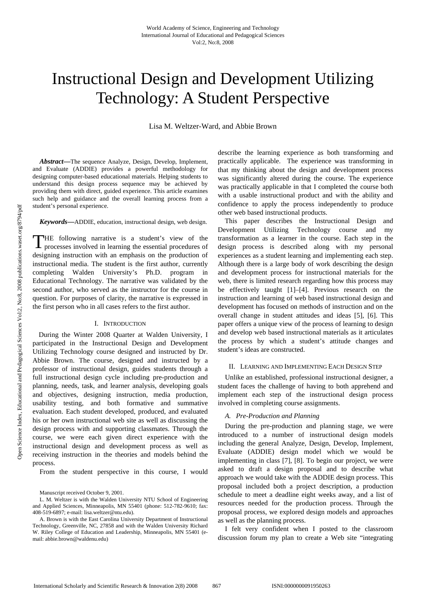# Instructional Design and Development Utilizing Technology: A Student Perspective

Lisa M. Weltzer-Ward, and Abbie Brown

*Abstract***—**The sequence Analyze, Design, Develop, Implement, and Evaluate (ADDIE) provides a powerful methodology for designing computer-based educational materials. Helping students to understand this design process sequence may be achieved by providing them with direct, guided experience. This article examines such help and guidance and the overall learning process from a student's personal experience.

*Keywords***—**ADDIE, education, instructional design, web design.

HE following narrative is a student's view of the THE following narrative is a student's view of the processes involved in learning the essential procedures of designing instruction with an emphasis on the production of instructional media. The student is the first author, currently completing Walden University's Ph.D. program in Educational Technology. The narrative was validated by the second author, who served as the instructor for the course in question. For purposes of clarity, the narrative is expressed in the first person who in all cases refers to the first author.

#### I. INTRODUCTION

During the Winter 2008 Quarter at Walden University, I participated in the Instructional Design and Development Utilizing Technology course designed and instructed by Dr. Abbie Brown. The course, designed and instructed by a professor of instructional design, guides students through a full instructional design cycle including pre-production and planning, needs, task, and learner analysis, developing goals and objectives, designing instruction, media production, usability testing, and both formative and summative evaluation. Each student developed, produced, and evaluated his or her own instructional web site as well as discussing the design process with and supporting classmates. Through the course, we were each given direct experience with the instructional design and development process as well as receiving instruction in the theories and models behind the process.

From the student perspective in this course, I would

L. M. Weltzer is with the Walden University NTU School of Engineering and Applied Sciences, Minneapolis, MN 55401 (phone: 512-782-9610; fax: 408-519-6897; e-mail: lisa.weltzer@ntu.edu).

A. Brown is with the East Carolina University Department of Instructional Technology, Greenville, NC, 27858 and with the Walden University Richard W. Riley College of Education and Leadership, Minneapolis, MN 55401 (email: abbie.brown@waldenu.edu)

describe the learning experience as both transforming and practically applicable. The experience was transforming in that my thinking about the design and development process was significantly altered during the course. The experience was practically applicable in that I completed the course both with a usable instructional product and with the ability and confidence to apply the process independently to produce other web based instructional products.

This paper describes the Instructional Design and Development Utilizing Technology course and my transformation as a learner in the course. Each step in the design process is described along with my personal experiences as a student learning and implementing each step. Although there is a large body of work describing the design and development process for instructional materials for the web, there is limited research regarding how this process may be effectively taught [1]–[4]. Previous research on the instruction and learning of web based instructional design and development has focused on methods of instruction and on the overall change in student attitudes and ideas [5], [6]. This paper offers a unique view of the process of learning to design and develop web based instructional materials as it articulates the process by which a student's attitude changes and student's ideas are constructed.

#### II. LEARNING AND IMPLEMENTING EACH DESIGN STEP

Unlike an established, professional instructional designer, a student faces the challenge of having to both apprehend and implement each step of the instructional design process involved in completing course assignments.

## *A. Pre-Production and Planning*

During the pre-production and planning stage, we were introduced to a number of instructional design models including the general Analyze, Design, Develop, Implement, Evaluate (ADDIE) design model which we would be implementing in class [7], [8]. To begin our project, we were asked to draft a design proposal and to describe what approach we would take with the ADDIE design process. This proposal included both a project description, a production schedule to meet a deadline eight weeks away, and a list of resources needed for the production process. Through the proposal process, we explored design models and approaches as well as the planning process.

I felt very confident when I posted to the classroom discussion forum my plan to create a Web site "integrating

Manuscript received October 9, 2001.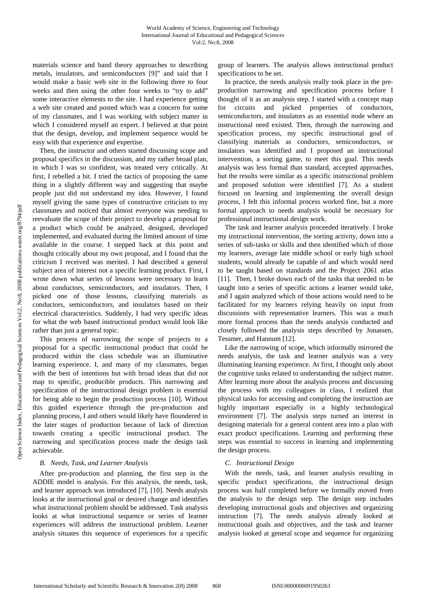materials science and band theory approaches to describing metals, insulators, and semiconductors [9]" and said that I would make a basic web site in the following three to four weeks and then using the other four weeks to "try to add" some interactive elements to the site. I had experience getting a web site created and posted which was a concern for some of my classmates, and I was working with subject matter in which I considered myself an expert. I believed at that point that the design, develop, and implement sequence would be easy with that experience and expertise.

Then, the instructor and others started discussing scope and proposal specifics in the discussion, and my rather broad plan, in which I was so confident, was treated very critically. At first, I rebelled a bit. I tried the tactics of proposing the same thing in a slightly different way and suggesting that maybe people just did not understand my idea. However, I found myself giving the same types of constructive criticism to my classmates and noticed that almost everyone was needing to reevaluate the scope of their project to develop a proposal for a product which could be analyzed, designed, developed implemented, and evaluated during the limited amount of time available in the course. I stepped back at this point and thought critically about my own proposal, and I found that the criticism I received was merited. I had described a general subject area of interest not a specific learning product. First, I wrote down what series of lessons were necessary to learn about conductors, semiconductors, and insulators. Then, I picked one of those lessons, classifying materials as conductors, semiconductors, and insulators based on their electrical characteristics. Suddenly, I had very specific ideas for what the web based instructional product would look like rather than just a general topic.

This process of narrowing the scope of projects to a proposal for a specific instructional product that could be produced within the class schedule was an illuminative learning experience. I, and many of my classmates, began with the best of intentions but with broad ideas that did not map to specific, producible products. This narrowing and specification of the instructional design problem is essential for being able to begin the production process [10]. Without this guided experience through the pre-production and planning process, I and others would likely have floundered in the later stages of production because of lack of direction towards creating a specific instructional product. The narrowing and specification process made the design task achievable.

### *B. Needs, Task, and Learner Analysis*

After pre-production and planning, the first step in the ADDIE model is analysis. For this analysis, the needs, task, and learner approach was introduced [7], [10]. Needs analysis looks at the instructional goal or desired change and identifies what instructional problem should be addressed. Task analysis looks at what instructional sequence or series of learner experiences will address the instructional problem. Learner analysis situates this sequence of experiences for a specific group of learners. The analysis allows instructional product specifications to be set.

In practice, the needs analysis really took place in the preproduction narrowing and specification process before I thought of it as an analysis step. I started with a concept map for circuits and picked properties of conductors, semiconductors, and insulators as an essential node where an instructional need existed. Then, through the narrowing and specification process, my specific instructional goal of classifying materials as conductors, semiconductors, or insulators was identified and I proposed an instructional intervention, a sorting game, to meet this goal. This needs analysis was less formal than standard, accepted approaches, but the results were similar as a specific instructional problem and proposed solution were identified [7]. As a student focused on learning and implementing the overall design process, I felt this informal process worked fine, but a more formal approach to needs analysis would be necessary for professional instructional design work.

The task and learner analysis proceeded iteratively. I broke my instructional intervention, the sorting activity, down into a series of sub-tasks or skills and then identified which of those my learners, average late middle school or early high school students, would already be capable of and which would need to be taught based on standards and the Project 2061 atlas [11]. Then, I broke down each of the tasks that needed to be taught into a series of specific actions a learner would take, and I again analyzed which of those actions would need to be facilitated for my learners relying heavily on input from discussions with representative learners. This was a much more formal process than the needs analysis conducted and closely followed the analysis steps described by Jonassen, Tessmer, and Hannum [12].

Like the narrowing of scope, which informally mirrored the needs analysis, the task and learner analysis was a very illuminating learning experience. At first, I thought only about the cognitive tasks related to understanding the subject matter. After learning more about the analysis process and discussing the process with my colleagues in class, I realized that physical tasks for accessing and completing the instruction are highly important especially in a highly technological environment [7]. The analysis steps turned an interest in designing materials for a general content area into a plan with exact product specifications. Learning and performing these steps was essential to success in learning and implementing the design process.

## *C. Instructional Design*

With the needs, task, and learner analysis resulting in specific product specifications, the instructional design process was half completed before we formally moved from the analysis to the design step. The design step includes developing instructional goals and objectives and organizing instruction [7]. The needs analysis already looked at instructional goals and objectives, and the task and learner analysis looked at general scope and sequence for organizing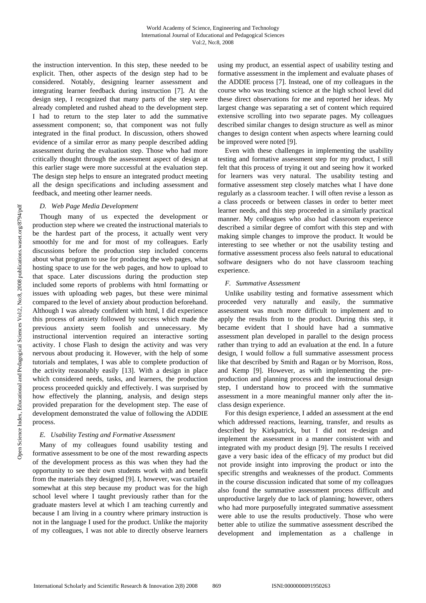the instruction intervention. In this step, these needed to be explicit. Then, other aspects of the design step had to be considered. Notably, designing learner assessment and integrating learner feedback during instruction [7]. At the design step, I recognized that many parts of the step were already completed and rushed ahead to the development step. I had to return to the step later to add the summative assessment component; so, that component was not fully integrated in the final product. In discussion, others showed evidence of a similar error as many people described adding assessment during the evaluation step. Those who had more critically thought through the assessment aspect of design at this earlier stage were more successful at the evaluation step. The design step helps to ensure an integrated product meeting all the design specifications and including assessment and feedback, and meeting other learner needs.

### *D. Web Page Media Development*

Though many of us expected the development or production step where we created the instructional materials to be the hardest part of the process, it actually went very smoothly for me and for most of my colleagues. Early discussions before the production step included concerns about what program to use for producing the web pages, what hosting space to use for the web pages, and how to upload to that space. Later discussions during the production step included some reports of problems with html formatting or issues with uploading web pages, but these were minimal compared to the level of anxiety about production beforehand. Although I was already confident with html, I did experience this process of anxiety followed by success which made the previous anxiety seem foolish and unnecessary. My instructional intervention required an interactive sorting activity. I chose Flash to design the activity and was very nervous about producing it. However, with the help of some tutorials and templates, I was able to complete production of the activity reasonably easily [13]. With a design in place which considered needs, tasks, and learners, the production process proceeded quickly and effectively. I was surprised by how effectively the planning, analysis, and design steps provided preparation for the development step. The ease of development demonstrated the value of following the ADDIE process.

## *E. Usability Testing and Formative Assessment*

Many of my colleagues found usability testing and formative assessment to be one of the most rewarding aspects of the development process as this was when they had the opportunity to see their own students work with and benefit from the materials they designed [9]. I, however, was curtailed somewhat at this step because my product was for the high school level where I taught previously rather than for the graduate masters level at which I am teaching currently and because I am living in a country where primary instruction is not in the language I used for the product. Unlike the majority of my colleagues, I was not able to directly observe learners using my product, an essential aspect of usability testing and formative assessment in the implement and evaluate phases of the ADDIE process [7]. Instead, one of my colleagues in the course who was teaching science at the high school level did these direct observations for me and reported her ideas. My largest change was separating a set of content which required extensive scrolling into two separate pages. My colleagues described similar changes to design structure as well as minor changes to design content when aspects where learning could be improved were noted [9].

Even with these challenges in implementing the usability testing and formative assessment step for my product, I still felt that this process of trying it out and seeing how it worked for learners was very natural. The usability testing and formative assessment step closely matches what I have done regularly as a classroom teacher. I will often revise a lesson as a class proceeds or between classes in order to better meet learner needs, and this step proceeded in a similarly practical manner. My colleagues who also had classroom experience described a similar degree of comfort with this step and with making simple changes to improve the product. It would be interesting to see whether or not the usability testing and formative assessment process also feels natural to educational software designers who do not have classroom teaching experience.

# *F. Summative Assessment*

Unlike usability testing and formative assessment which proceeded very naturally and easily, the summative assessment was much more difficult to implement and to apply the results from to the product. During this step, it became evident that I should have had a summative assessment plan developed in parallel to the design process rather than trying to add an evaluation at the end. In a future design, I would follow a full summative assessment process like that described by Smith and Ragan or by Morrison, Ross, and Kemp [9]. However, as with implementing the preproduction and planning process and the instructional design step, I understand how to proceed with the summative assessment in a more meaningful manner only after the inclass design experience.

For this design experience, I added an assessment at the end which addressed reactions, learning, transfer, and results as described by Kirkpatrick, but I did not re-design and implement the assessment in a manner consistent with and integrated with my product design [9]. The results I received gave a very basic idea of the efficacy of my product but did not provide insight into improving the product or into the specific strengths and weaknesses of the product. Comments in the course discussion indicated that some of my colleagues also found the summative assessment process difficult and unproductive largely due to lack of planning; however, others who had more purposefully integrated summative assessment were able to use the results productively. Those who were better able to utilize the summative assessment described the development and implementation as a challenge in